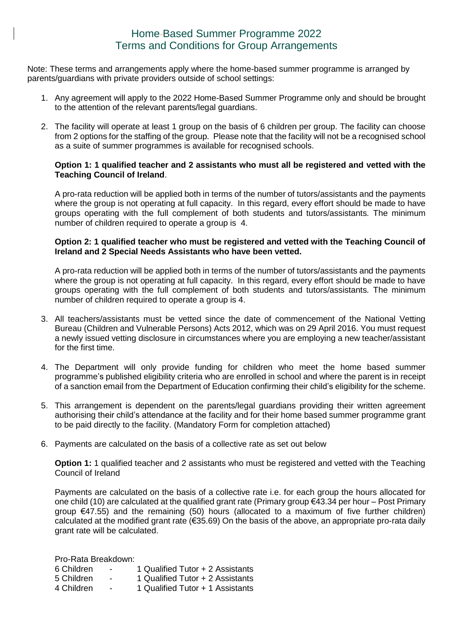## Home Based Summer Programme 2022 Terms and Conditions for Group Arrangements

Note: These terms and arrangements apply where the home-based summer programme is arranged by parents/guardians with private providers outside of school settings:

- 1. Any agreement will apply to the 2022 Home-Based Summer Programme only and should be brought to the attention of the relevant parents/legal guardians.
- 2. The facility will operate at least 1 group on the basis of 6 children per group. The facility can choose from 2 options for the staffing of the group. Please note that the facility will not be a recognised school as a suite of summer programmes is available for recognised schools.

## **Option 1: 1 qualified teacher and 2 assistants who must all be registered and vetted with the Teaching Council of Ireland**.

A pro-rata reduction will be applied both in terms of the number of tutors/assistants and the payments where the group is not operating at full capacity. In this regard, every effort should be made to have groups operating with the full complement of both students and tutors/assistants*.* The minimum number of children required to operate a group is 4.

## **Option 2: 1 qualified teacher who must be registered and vetted with the Teaching Council of Ireland and 2 Special Needs Assistants who have been vetted.**

A pro-rata reduction will be applied both in terms of the number of tutors/assistants and the payments where the group is not operating at full capacity. In this regard, every effort should be made to have groups operating with the full complement of both students and tutors/assistants*.* The minimum number of children required to operate a group is 4.

- 3. All teachers/assistants must be vetted since the date of commencement of the National Vetting Bureau (Children and Vulnerable Persons) Acts 2012, which was on 29 April 2016. You must request a newly issued vetting disclosure in circumstances where you are employing a new teacher/assistant for the first time.
- 4. The Department will only provide funding for children who meet the home based summer programme's published eligibility criteria who are enrolled in school and where the parent is in receipt of a sanction email from the Department of Education confirming their child's eligibility for the scheme.
- 5. This arrangement is dependent on the parents/legal guardians providing their written agreement authorising their child's attendance at the facility and for their home based summer programme grant to be paid directly to the facility. (Mandatory Form for completion attached)
- 6. Payments are calculated on the basis of a collective rate as set out below

**Option 1:** 1 qualified teacher and 2 assistants who must be registered and vetted with the Teaching Council of Ireland

Payments are calculated on the basis of a collective rate i.e. for each group the hours allocated for one child (10) are calculated at the qualified grant rate (Primary group €43.34 per hour – Post Primary group €47.55) and the remaining (50) hours (allocated to a maximum of five further children) calculated at the modified grant rate (€35.69) On the basis of the above, an appropriate pro-rata daily grant rate will be calculated.

Pro-Rata Breakdown:

- 6 Children 1 Qualified Tutor + 2 Assistants
- 5 Children 1 Qualified Tutor + 2 Assistants
- 4 Children 1 Qualified Tutor + 1 Assistants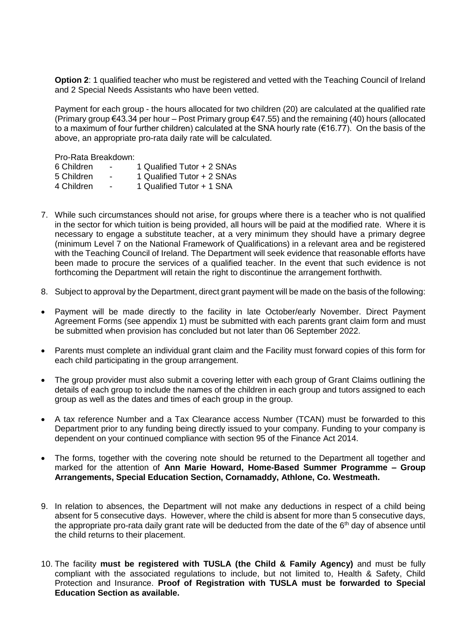**Option 2:** 1 qualified teacher who must be registered and vetted with the Teaching Council of Ireland and 2 Special Needs Assistants who have been vetted.

Payment for each group - the hours allocated for two children (20) are calculated at the qualified rate (Primary group €43.34 per hour – Post Primary group €47.55) and the remaining (40) hours (allocated to a maximum of four further children) calculated at the SNA hourly rate (€16.77). On the basis of the above, an appropriate pro-rata daily rate will be calculated.

Pro-Rata Breakdown:

| 6 Children                       | 1 Qualified Tutor + 2 SNAs                |
|----------------------------------|-------------------------------------------|
| $F$ $Q$ $\sim$ $H$ $\sim$ $\sim$ | $\Lambda$ Ouglified Tutes $\Lambda$ ONIAs |

- 5 Children 1 Qualified Tutor + 2 SNAs 4 Children - 1 Qualified Tutor + 1 SNA
- 7. While such circumstances should not arise, for groups where there is a teacher who is not qualified in the sector for which tuition is being provided, all hours will be paid at the modified rate. Where it is necessary to engage a substitute teacher, at a very minimum they should have a primary degree (minimum Level 7 on the National Framework of Qualifications) in a relevant area and be registered with the Teaching Council of Ireland. The Department will seek evidence that reasonable efforts have been made to procure the services of a qualified teacher. In the event that such evidence is not forthcoming the Department will retain the right to discontinue the arrangement forthwith.
- 8. Subject to approval by the Department, direct grant payment will be made on the basis of the following:
- Payment will be made directly to the facility in late October/early November. Direct Payment Agreement Forms (see appendix 1) must be submitted with each parents grant claim form and must be submitted when provision has concluded but not later than 06 September 2022.
- Parents must complete an individual grant claim and the Facility must forward copies of this form for each child participating in the group arrangement.
- The group provider must also submit a covering letter with each group of Grant Claims outlining the details of each group to include the names of the children in each group and tutors assigned to each group as well as the dates and times of each group in the group.
- A tax reference Number and a Tax Clearance access Number (TCAN) must be forwarded to this Department prior to any funding being directly issued to your company. Funding to your company is dependent on your continued compliance with section 95 of the Finance Act 2014.
- The forms, together with the covering note should be returned to the Department all together and marked for the attention of **Ann Marie Howard, Home-Based Summer Programme – Group Arrangements, Special Education Section, Cornamaddy, Athlone, Co. Westmeath.**
- 9. In relation to absences, the Department will not make any deductions in respect of a child being absent for 5 consecutive days. However, where the child is absent for more than 5 consecutive days, the appropriate pro-rata daily grant rate will be deducted from the date of the  $6<sup>th</sup>$  day of absence until the child returns to their placement.
- 10. The facility **must be registered with TUSLA (the Child & Family Agency)** and must be fully compliant with the associated regulations to include, but not limited to, Health & Safety, Child Protection and Insurance. **Proof of Registration with TUSLA must be forwarded to Special Education Section as available.**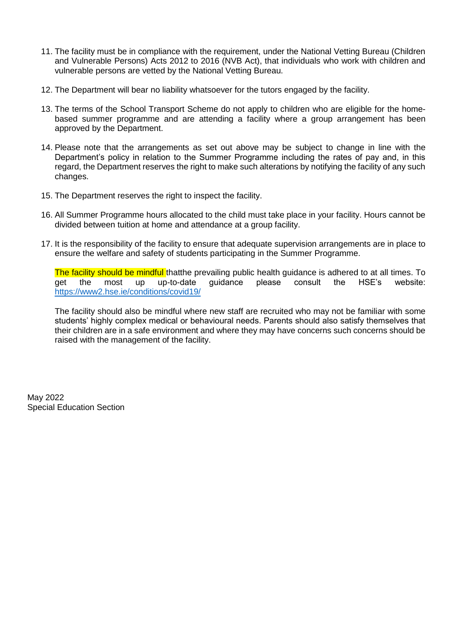- 11. The facility must be in compliance with the requirement, under the National Vetting Bureau (Children and Vulnerable Persons) Acts 2012 to 2016 (NVB Act), that individuals who work with children and vulnerable persons are vetted by the National Vetting Bureau.
- 12. The Department will bear no liability whatsoever for the tutors engaged by the facility.
- 13. The terms of the School Transport Scheme do not apply to children who are eligible for the homebased summer programme and are attending a facility where a group arrangement has been approved by the Department.
- 14. Please note that the arrangements as set out above may be subject to change in line with the Department's policy in relation to the Summer Programme including the rates of pay and, in this regard, the Department reserves the right to make such alterations by notifying the facility of any such changes.
- 15. The Department reserves the right to inspect the facility.
- 16. All Summer Programme hours allocated to the child must take place in your facility. Hours cannot be divided between tuition at home and attendance at a group facility.
- 17. It is the responsibility of the facility to ensure that adequate supervision arrangements are in place to ensure the welfare and safety of students participating in the Summer Programme.

The facility should be mindful thatthe prevailing public health guidance is adhered to at all times. To get the most up up-to-date guidance please consult the HSE's website: <https://www2.hse.ie/conditions/covid19/>

The facility should also be mindful where new staff are recruited who may not be familiar with some students' highly complex medical or behavioural needs. Parents should also satisfy themselves that their children are in a safe environment and where they may have concerns such concerns should be raised with the management of the facility.

May 2022 Special Education Section